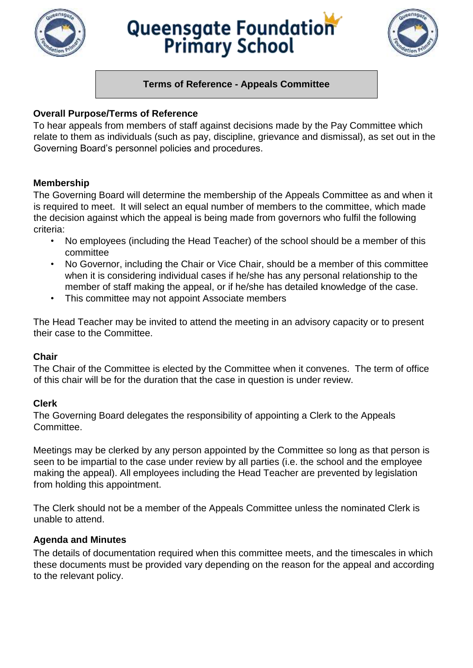

# Queensgate Foundation



# **Terms of Reference - Appeals Committee**

# **Overall Purpose/Terms of Reference**

To hear appeals from members of staff against decisions made by the Pay Committee which relate to them as individuals (such as pay, discipline, grievance and dismissal), as set out in the Governing Board's personnel policies and procedures.

### **Membership**

The Governing Board will determine the membership of the Appeals Committee as and when it is required to meet. It will select an equal number of members to the committee, which made the decision against which the appeal is being made from governors who fulfil the following criteria:

- No employees (including the Head Teacher) of the school should be a member of this committee
- No Governor, including the Chair or Vice Chair, should be a member of this committee when it is considering individual cases if he/she has any personal relationship to the member of staff making the appeal, or if he/she has detailed knowledge of the case.
- This committee may not appoint Associate members

The Head Teacher may be invited to attend the meeting in an advisory capacity or to present their case to the Committee.

### **Chair**

The Chair of the Committee is elected by the Committee when it convenes. The term of office of this chair will be for the duration that the case in question is under review.

### **Clerk**

The Governing Board delegates the responsibility of appointing a Clerk to the Appeals Committee.

Meetings may be clerked by any person appointed by the Committee so long as that person is seen to be impartial to the case under review by all parties (i.e. the school and the employee making the appeal). All employees including the Head Teacher are prevented by legislation from holding this appointment.

The Clerk should not be a member of the Appeals Committee unless the nominated Clerk is unable to attend.

# **Agenda and Minutes**

The details of documentation required when this committee meets, and the timescales in which these documents must be provided vary depending on the reason for the appeal and according to the relevant policy.